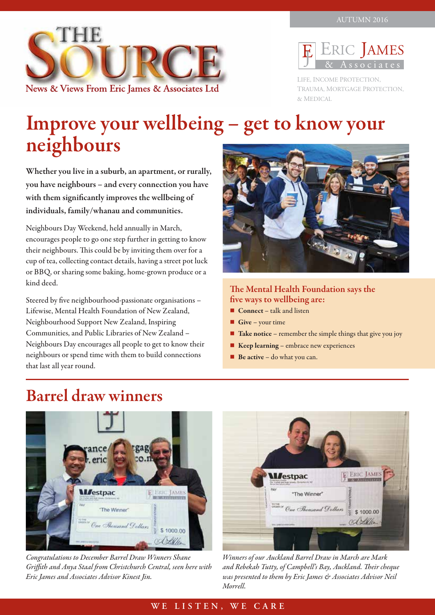



LIFE, INCOME PROTECTION, TRAUMA, MORTGAGE PROTECTION, & MEDICAL

# Improve your wellbeing – get to know your neighbours

Whether you live in a suburb, an apartment, or rurally, you have neighbours – and every connection you have with them significantly improves the wellbeing of individuals, family/whanau and communities.

Neighbours Day Weekend, held annually in March, encourages people to go one step further in getting to know their neighbours. This could be by inviting them over for a cup of tea, collecting contact details, having a street pot luck or BBQ, or sharing some baking, home-grown produce or a kind deed.

Steered by five neighbourhood-passionate organisations – Lifewise, Mental Health Foundation of New Zealand, Neighbourhood Support New Zealand, Inspiring Communities, and Public Libraries of New Zealand – Neighbours Day encourages all people to get to know their neighbours or spend time with them to build connections that last all year round.



#### The Mental Health Foundation says the five ways to wellbeing are:

- $\blacksquare$  Connect talk and listen
- Give your time
- $\blacksquare$  Take notice remember the simple things that give you joy
- $\blacksquare$  Keep learning embrace new experiences
- $\blacksquare$  Be active do what you can.

### Barrel draw winners



*Congratulations to December Barrel Draw Winners Shane Griffith and Anya Staal from Christchurch Central, seen here with Eric James and Associates Advisor Kinest Jin.*



*Winners of our Auckland Barrel Draw in March are Mark and Rebekah Tutty, of Campbell's Bay, Auckland. Their cheque was presented to them by Eric James & Associates Advisor Neil Morrell.*

#### **WE LISTEN, WE CARE**